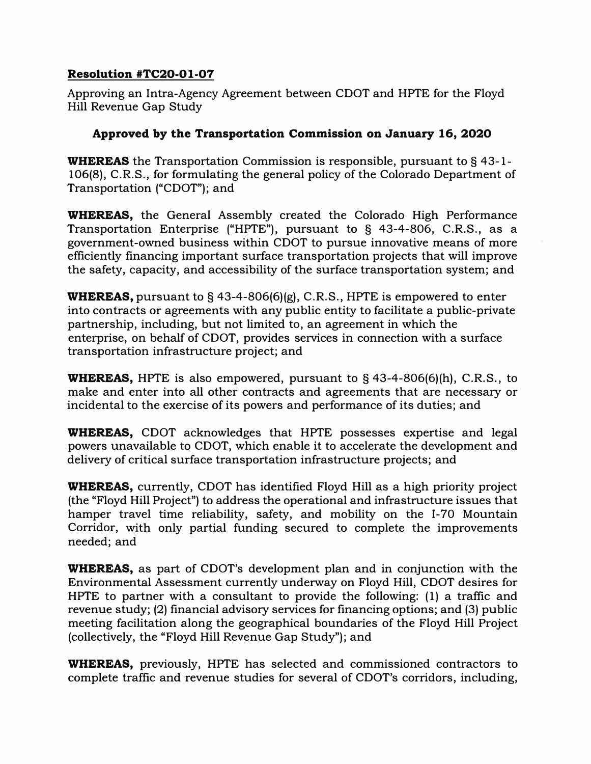## **Resolution #TC20-01-07**

Approving an Intra-Agency Agreement between COOT and HPTE for the Floyd Hill Revenue Gap Study

## **Approved by the Transportation Commission on January 16, 2020**

WHEREAS the Transportation Commission is responsible, pursuant to §43-1-106(8), C.R.S., for formulating the general policy of the Colorado Department of Transportation ("COOT"); and

WHEREAS, the General Assembly created the Colorado High Performance Transportation Enterprise ("HPTE"), pursuant to § 43-4-806, C.R.S., as a government-owned business within COOT to pursue innovative means of more efficiently financing important surface transportation projects that will improve the safety, capacity, and accessibility of the surface transportation system; and

**WHEREAS,** pursuant to § 43-4-806(6)(g), C.R.S., HPTE is empowered to enter into contracts or agreements with any public entity to facilitate a public-private partnership, including, but not limited to, an agreement in which the enterprise, on behalf of COOT, provides services in connection with a surface transportation infrastructure project; and

**WHEREAS,** HPTE is also empowered, pursuant to  $\S$  43-4-806(6)(h), C.R.S., to make and enter into all other contracts and agreements that are necessary or incidental to the exercise of its powers and performance of its duties; and

WHEREAS, CDOT acknowledges that HPTE possesses expertise and legal powers unavailable to COOT, which enable it to accelerate the development and delivery of critical surface transportation infrastructure projects; and

WHEREAS, currently, COOT has identified Floyd Hill as a high priority project (the "Floyd Hill Project") to address the operational and infrastructure issues that hamper travel time reliability, safety, and mobility on the 1-70 Mountain Corridor, with only partial funding secured to complete the improvements needed; and

WHEREAS, as part of CDOT's development plan and in conjunction with the Environmental Assessment currently underway on Floyd Hill, COOT desires for HPTE to partner with a consultant to provide the following: (1) a traffic and revenue study; (2) financial advisory services for financing options; and (3) public meeting facilitation along the geographical boundaries of the Floyd Hill Project (collectively, the "Floyd Hill Revenue Gap Study"); and

WHEREAS, previously, HPTE has selected and commissioned contractors to complete traffic and revenue studies for several of CDOT's corridors, including,